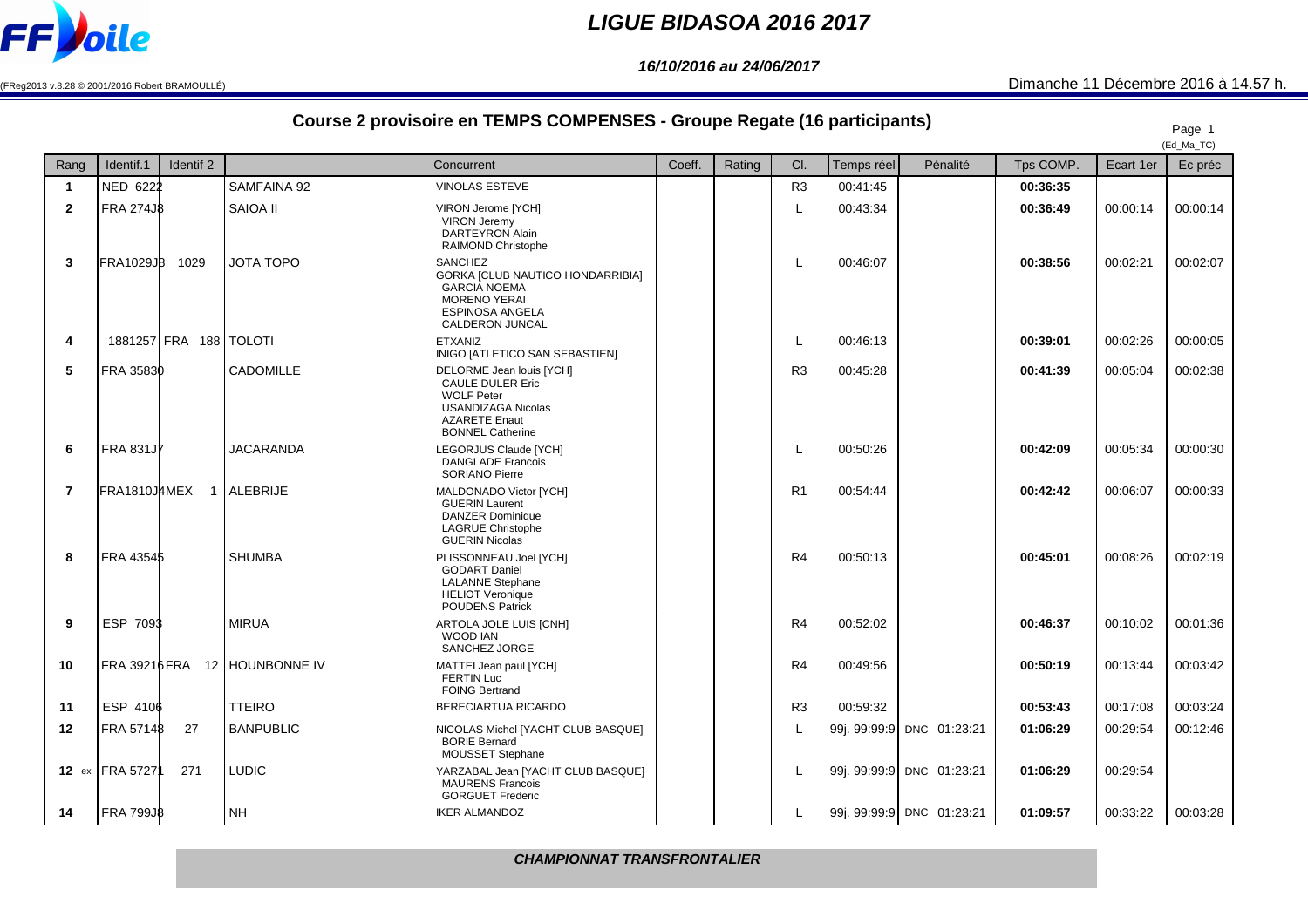

## **LIGUE BIDASOA 2016 2017**

**16/10/2016 au 24/06/2017**

(FReg2013 v.8.28 © 2001/2016 Robert BRAMOULLÉ)

## Dimanche 11 Décembre 2016 à 14.57 h.

## **Course 2 provisoire en TEMPS COMPENSES - Groupe Regate (16 participants)**

| Course Z provisoire en TEMPS COMPENSES - Groupe Regate (To participants) |                               |                  |                                                                                                                                                   |        |        |                |            |                           |           | Page 1<br>(Ed_Ma_TC) |          |
|--------------------------------------------------------------------------|-------------------------------|------------------|---------------------------------------------------------------------------------------------------------------------------------------------------|--------|--------|----------------|------------|---------------------------|-----------|----------------------|----------|
| Rang                                                                     | Identif.1<br>Identif 2        |                  | Concurrent                                                                                                                                        | Coeff. | Rating | CI.            | Temps réel | Pénalité                  | Tps COMP. | Ecart 1er            | Ec préc  |
| $\mathbf{1}$                                                             | NED 6222                      | SAMFAINA 92      | <b>VINOLAS ESTEVE</b>                                                                                                                             |        |        | R <sub>3</sub> | 00:41:45   |                           | 00:36:35  |                      |          |
| $\overline{2}$                                                           | <b>FRA 274JB</b>              | SAIOA II         | VIRON Jerome [YCH]<br><b>VIRON Jeremy</b><br><b>DARTEYRON Alain</b><br>RAIMOND Christophe                                                         |        |        | L              | 00:43:34   |                           | 00:36:49  | 00:00:14             | 00:00:14 |
| 3                                                                        | <b>FRA1029J8</b><br>1029      | <b>JOTA TOPO</b> | SANCHEZ<br>GORKA [CLUB NAUTICO HONDARRIBIA]<br><b>GARCIA NOEMA</b><br><b>MORENO YERAI</b><br>ESPINOSA ANGELA<br>CALDERON JUNCAL                   |        |        | L              | 00:46:07   |                           | 00:38:56  | 00:02:21             | 00:02:07 |
| 4                                                                        | 1881257 FRA 188 TOLOTI        |                  | <b>ETXANIZ</b><br>INIGO [ATLETICO SAN SEBASTIEN]                                                                                                  |        |        | L              | 00:46:13   |                           | 00:39:01  | 00:02:26             | 00:00:05 |
| 5                                                                        | FRA 35830                     | CADOMILLE        | DELORME Jean louis [YCH]<br>CAULE DULER Eric<br><b>WOLF Peter</b><br><b>USANDIZAGA Nicolas</b><br><b>AZARETE Enaut</b><br><b>BONNEL Catherine</b> |        |        | R <sub>3</sub> | 00:45:28   |                           | 00:41:39  | 00:05:04             | 00:02:38 |
| 6                                                                        | <b>FRA 831J7</b>              | <b>JACARANDA</b> | LEGORJUS Claude [YCH]<br><b>DANGLADE Francois</b><br><b>SORIANO Pierre</b>                                                                        |        |        | L              | 00:50:26   |                           | 00:42:09  | 00:05:34             | 00:00:30 |
| $\overline{7}$                                                           | FRA1810JAMEX 1 ALEBRIJE       |                  | MALDONADO Victor [YCH]<br><b>GUERIN Laurent</b><br><b>DANZER Dominique</b><br><b>LAGRUE Christophe</b><br><b>GUERIN Nicolas</b>                   |        |        | R <sub>1</sub> | 00:54:44   |                           | 00:42:42  | 00:06:07             | 00:00:33 |
| 8                                                                        | FRA 43545                     | <b>SHUMBA</b>    | PLISSONNEAU Joel [YCH]<br><b>GODART Daniel</b><br><b>LALANNE</b> Stephane<br><b>HELIOT Veronique</b><br><b>POUDENS Patrick</b>                    |        |        | R <sub>4</sub> | 00:50:13   |                           | 00:45:01  | 00:08:26             | 00:02:19 |
| 9                                                                        | ESP 7093                      | <b>MIRUA</b>     | ARTOLA JOLE LUIS [CNH]<br>WOOD IAN<br>SANCHEZ JORGE                                                                                               |        |        | R <sub>4</sub> | 00:52:02   |                           | 00:46:37  | 00:10:02             | 00:01:36 |
| 10                                                                       | FRA 39216 FRA 12 HOUNBONNE IV |                  | MATTEI Jean paul [YCH]<br><b>FERTIN Luc</b><br><b>FOING Bertrand</b>                                                                              |        |        | R <sub>4</sub> | 00:49:56   |                           | 00:50:19  | 00:13:44             | 00:03:42 |
| 11                                                                       | ESP 4106                      | <b>TTEIRO</b>    | BERECIARTUA RICARDO                                                                                                                               |        |        | R <sub>3</sub> | 00:59:32   |                           | 00:53:43  | 00:17:08             | 00:03:24 |
| 12                                                                       | FRA 57148<br>27               | <b>BANPUBLIC</b> | NICOLAS Michel [YACHT CLUB BASQUE]<br><b>BORIE Bernard</b><br>MOUSSET Stephane                                                                    |        |        | L              |            | 99j. 99:99:9 DNC 01:23:21 | 01:06:29  | 00:29:54             | 00:12:46 |
|                                                                          | 12 ex FRA 57271<br>271        | <b>LUDIC</b>     | YARZABAL Jean [YACHT CLUB BASQUE]<br><b>MAURENS Francois</b><br><b>GORGUET Frederic</b>                                                           |        |        | L              |            | 99j. 99:99:9 DNC 01:23:21 | 01:06:29  | 00:29:54             |          |
| 14                                                                       | <b>FRA 799JB</b>              | <b>NH</b>        | <b>IKER ALMANDOZ</b>                                                                                                                              |        |        | L              |            | 99j. 99:99:9 DNC 01:23:21 | 01:09:57  | 00:33:22             | 00:03:28 |

**CHAMPIONNAT TRANSFRONTALIER**